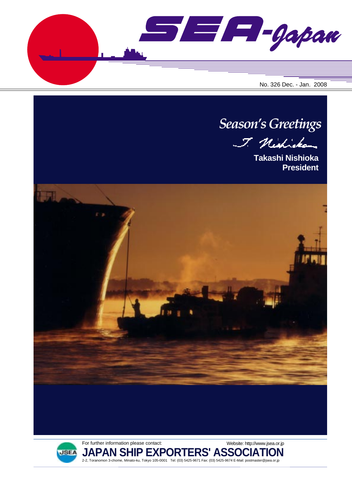SE F-Gapan





**JAPAN SHIP EXPORTERS' ASSOCIATION** 2-2, Toranomon 3-chome, Minato-ku, Tokyo 105-0001 Tel: (03) 5425-9671 Fax: (03) 5425-9674 E-Mail: postmaster@jsea.or.jp

Website: http://www.jsea.or.jp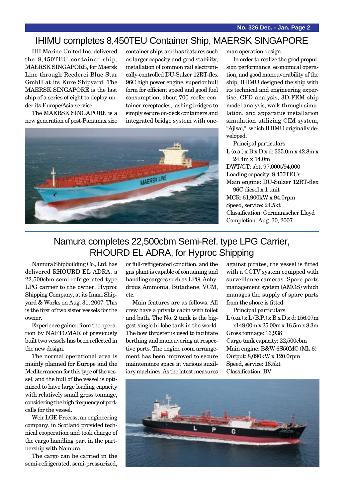### IHIMU completes 8,450TEU Container Ship, MAERSK SINGAPORE

IHI Marine United Inc. delivered the 8,450TEU container ship, MAERSK SINGAPORE, for Maersk Line through Reederei Blue Star GmbH at its Kure Shipyard. The MAERSK SINGAPORE is the last ship of a series of eight to deploy under its Europe/Asia service.

The MAERSK SINGAPORE is a new generation of post-Panamax size container ships and has features such as larger capacity and good stability, installation of common rail electronically-controlled DU-Sulzer 12RT-flex 96C high power engine, superior hull form for efficient speed and good fuel consumption, about 700 reefer container receptacles, lashing bridges to simply secure on-deck containers and integrated bridge system with one-



man operation design.

In order to realize the good propulsion performance, economical operation, and good maneuverability of the ship, IHIMU designed the ship with its technical and engineering expertise, CFD analysis, 3D-FEM ship model analysis, walk-through simulation, and apparatus installation simulation utilizing CIM system, "Ajisai," which IHIMU originally developed.

Principal particulars L (o.a.) x B x D x d: 335.0m x 42.8m x 24.4m x 14.0m DWT/GT: abt. 97,000t/94,000 Loading capacity: 8,450TEUs Main engine: DU-Sulzer 12RT-flex 96C diesel x 1 unit MCR: 61,900kW x 94.0rpm Speed, service: 24.5kt Classification: Germanischer Lloyd Completion: Aug. 30, 2007

# Namura completes 22,500cbm Semi-Ref. type LPG Carrier, RHOURD EL ADRA, for Hyproc Shipping

Namura Shipbuilding Co., Ltd. has delivered RHOURD EL ADRA, a 22,500cbm semi-refrigerated type LPG carrier to the owner, Hyproc Shipping Company, at its Imari Shipyard & Works on Aug. 31, 2007. This is the first of two sister vessels for the owner.

Experience gained from the operation by NAFTOMAR of previously built two vessels has been reflected in the new design.

The normal operational area is mainly planned for Europe and the Mediterranean for this type of the vessel, and the hull of the vessel is optimized to have large loading capacity with relatively small gross tonnage, considering the high frequency of portcalls for the vessel.

Weir LGE Process, an engineering company, in Scotland provided technical cooperation and took charge of the cargo handling part in the partnership with Namura.

The cargo can be carried in the semi-refrigerated, semi-pressurized, or full-refrigerated condition, and the gas plant is capable of containing and handling cargoes such as LPG, Anhydrous Ammonia, Butadiene, VCM, etc.

Main features are as follows. All crew have a private cabin with toilet and bath. The No. 2 tank is the biggest single bi-lobe tank in the world. The bow thruster is used to facilitate berthing and maneuvering at respective ports. The engine room arrangement has been improved to secure maintenance space at various auxiliary machines. As the latest measures

against pirates, the vessel is fitted with a CCTV system equipped with surveillance cameras. Spare parts management system (AMOS) which manages the supply of spare parts from the shore is fitted.

Principal particulars

 $L$  (o.a.) x  $L$  (B.P.) x  $B$  x  $D$  x d: 156.07m x148.00m x 25.00m x 16.5m x 8.3m

Gross tonnage: 16,938 Cargo tank capacity: 22,500cbm Main engine: B&W 6S50MC (Mk 6) Output: 8,090kW x 120.0rpm Speed, service: 16.5kt Classification: BV

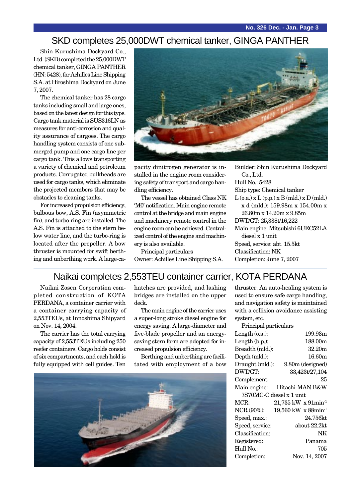### SKD completes 25,000DWT chemical tanker, GINGA PANTHER

Shin Kurushima Dockyard Co., Ltd. (SKD) completed the 25,000DWT chemical tanker, GINGA PANTHER (HN: 5428), for Achilles Line Shipping S.A. at Hiroshima Dockyard on June 7, 2007.

The chemical tanker has 28 cargo tanks including small and large ones, based on the latest design for this type. Cargo tank material is SUS316LN as measures for anti-corrosion and quality assurance of cargoes. The cargo handling system consists of one submerged pump and one cargo line per cargo tank. This allows transporting a variety of chemical and petroleum products. Corrugated bulkheads are used for cargo tanks, which eliminate the projected members that may be obstacles to cleaning tanks.

For increased propulsion efficiency, bulbous bow, A.S. Fin (asymmetric fin), and turbo-ring are installed. The A.S. Fin is attached to the stern below water line, and the turbo-ring is located after the propeller. A bow thruster is mounted for swift berthing and unberthing work. A large-ca-



pacity dinitrogen generator is installed in the engine room considering safety of transport and cargo handling efficiency.

The vessel has obtained Class NK 'M0' notification. Main engine remote control at the bridge and main engine and machinery remote control in the engine room can be achieved. Centralized control of the engine and machinery is also available.

Principal particulars Owner: Achilles Line Shipping S.A. Builder: Shin Kurushima Dockyard Co., Ltd. Hull No.: 5428 Ship type: Chemical tanker  $L$  (o.a.) x  $L$  (p.p.) x  $B$  (mld.) x  $D$  (mld.) x d (mld.): 159.98m x 154.00m x 26.80m x 14.20m x 9.85m DWT/GT: 25,338t/16,222 Main engine: Mitsubishi 6UEC52LA diesel x 1 unit Speed, service: abt. 15.5kt Classification: NK Completion: June 7, 2007

### Naikai completes 2,553TEU container carrier, KOTA PERDANA

Naikai Zosen Corporation completed construction of KOTA PERDANA, a container carrier with a container carrying capacity of 2,553TEUs, at Innoshima Shipyard on Nov. 14, 2004.

The carrier has the total carrying capacity of 2,553TEUs including 250 reefer containers. Cargo holds consist of six compartments, and each hold is fully equipped with cell guides. Ten

hatches are provided, and lashing bridges are installed on the upper deck.

The main engine of the carrier uses a super-long stroke diesel engine for energy saving. A large-diameter and five-blade propeller and an energysaving stern form are adopted for increased propulsion efficiency.

Berthing and unberthing are facilitated with employment of a bow



thruster. An auto-healing system is used to ensure safe cargo handling, and navigation safety is maintained with a collision avoidance assisting system, etc.

| Principal particulars                |
|--------------------------------------|
| 199.93m                              |
| 188.00m                              |
| 32.20m                               |
| 16.60m                               |
| Draught (mld.):<br>9.80m (designed)  |
| 33,423t/27,104                       |
| 25                                   |
| Hitachi-MAN B&W                      |
| 7S70MC-C diesel x 1 unit             |
| $21,735$ kW x $91$ min <sup>-1</sup> |
| 19,560 kW x 88min <sup>-1</sup>      |
| 24.756kt                             |
| about 22.2kt                         |
| NK                                   |
| Panama                               |
| 705                                  |
| Nov. 14, 2007                        |
|                                      |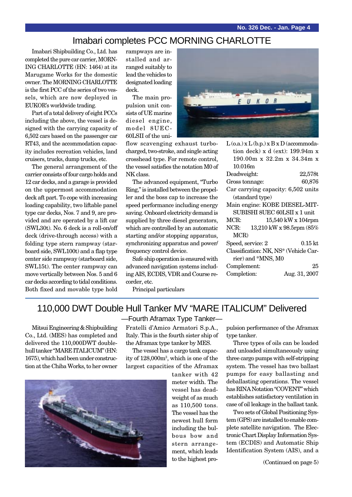### Imabari completes PCC MORNING CHARLOTTE

Imabari Shipbuilding Co., Ltd. has completed the pure car carrier, MORN-ING CHARLOTTE (HN: 1464) at its Marugame Works for the domestic owner. The MORNING CHARLOTTE is the first PCC of the series of two vessels, which are now deployed in EUKOR's worldwide trading.

Part of a total delivery of eight PCCs including the above, the vessel is designed with the carrying capacity of 6,502 cars based on the passenger car RT43, and the accommodation capacity includes recreation vehicles, land cruisers, trucks, dump trucks, etc.

The general arrangement of the carrier consists of four cargo holds and 12 car decks, and a garage is provided on the uppermost accommodation deck aft part. To cope with increasing loading capability, two liftable panel type car decks, Nos. 7 and 9, are provided and are operated by a lift car (SWL30t). No. 6 deck is a roll-on/off deck (drive-through access) with a folding type stern rampway (starboard side, SWL100t) and a flap type center side rampway (starboard side, SWL15t). The center rampway can move vertically between Nos. 5 and 6 car decks according to tidal conditions. Both fixed and movable type hold

rampways are installed and arranged suitably to lead the vehicles to designated loading deck.

The main propulsion unit consists of UE marine diesel engine, model 8UEC-60LSII of the uni-

flow scavenging exhaust turbocharged, two-stroke, and single acting crosshead type. For remote control, the vessel satisfies the notation M0 of NK class.

The advanced equipment, "Turbo Ring," is installed between the propeller and the boss cap to increase the speed performance including energy saving. Onboard electricity demand is supplied by three diesel generators, which are controlled by an automatic starting and/or stopping apparatus, synchronizing apparatus and power/ frequency control device.

Safe ship operation is ensured with advanced navigation systems including AIS, ECDIS, VDR and Course recorder, etc.

Principal particulars



| $L$ (o.a.) x $L$ (b.p.) x $B$ x $D$ (accommoda- |                          |
|-------------------------------------------------|--------------------------|
| tion deck) $x$ d (ext): 199.94m $x$             |                          |
| $190.00m \times 32.2m \times 34.34m \times$     |                          |
| 10.016m                                         |                          |
| Deadweight:                                     | 22,578t                  |
| Gross tonnage:                                  | 60,876                   |
| Car carrying capacity: 6,502 units              |                          |
| (standard type)                                 |                          |
| Main engine: KOBE DIESEL-MIT-                   |                          |
| SUBISHI 8UEC 60LSII x 1 unit                    |                          |
| MCR:                                            | 15,540 kW x 104rpm       |
| NCR:                                            | 13,210 kW x 98.5rpm (85% |
| MCR)                                            |                          |
| Speed, service: 2                               | $0.15\,\mathrm{kt}$      |
| Classification: NK, NS* (Vehicle Car-           |                          |
| rier) and *MNS, M0                              |                          |
| Complement:                                     | 25                       |
| Completion:                                     | Aug. 31, 2007            |
|                                                 |                          |

# 110,000 DWT Double Hull Tanker MV "MARE ITALICUM" Delivered

Mitsui Engineering & Shipbuilding Co., Ltd. (MES) has completed and delivered the 110,000DWT doublehull tanker "MARE ITALICUM" (HN: 1675), which had been under construction at the Chiba Works, to her owner

—Fourth Aframax Type Tanker—

Fratelli d'Amico Armatori S.p.A., Italy. This is the fourth sister ship of the Aframax type tanker by MES.

The vessel has a cargo tank capacity of 128,000m3 , which is one of the largest capacities of the Aframax

> tanker with 42 meter width. The vessel has deadweight of as much as 110,500 tons. The vessel has the newest hull form including the bulbous bow and stern arrangement, which leads to the highest pro

pulsion performance of the Aframax type tanker.

Three types of oils can be loaded and unloaded simultaneously using three cargo pumps with self-stripping system. The vessel has two ballast pumps for easy ballasting and deballasting operations. The vessel has RINA Notation "COVENT" which establishes satisfactory ventilation in case of oil leakage in the ballast tank.

Two sets of Global Positioning System (GPS) are installed to enable complete satellite navigation. The Electronic Chart Display Information System (ECDIS) and Automatic Ship Identification System (AIS), and a

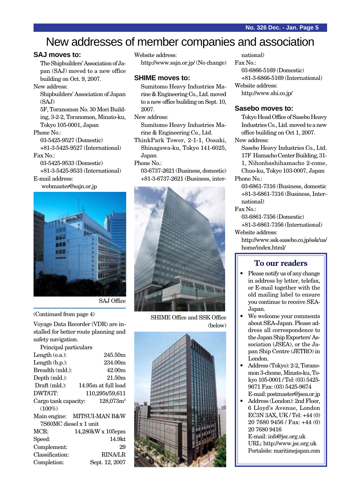# New addresses of member companies and association

### **SAJ moves to:**

The Shipbuilders' Association of Japan (SAJ) moved to a new office building on Oct. 9, 2007.

New address:

Shipbuilders' Association of Japan (SAJ)

5F, Toranomon No. 30 Mori Building, 3-2-2, Toranomon, Minato-ku, Tokyo 105-0001, Japan

#### Phone No.:

03-5425-9527 (Domestic) +81-3-5425-9527 (International) Fax No.:

03-5425-9533 (Domestic) +81-3-5425-9533 (International)

E-mail address:

webmaster@sajn.or.jp



SAJ Office

(Continued from page 4)

Voyage Data Recorder (VDR) are installed for better route planning and safety navigation.

| Principal particulars  |                             |
|------------------------|-----------------------------|
| Length $(0.a.)$ :      | 245.50m                     |
| Length $(b.p.):$       | 234.00m                     |
| Breadth (mld.):        | 42.00 <sub>m</sub>          |
| Depth (mld.):          | 21.50m                      |
| $Draft (mld.)$ :       | 14.95m at full load         |
| DWT/GT:                | 110,295t/59,611             |
| Cargo tank capacity:   | $128,073m^3$                |
| $(100\%)$              |                             |
|                        | Main engine: MITSUI-MAN B&W |
| 7S60MC diesel x 1 unit |                             |
| $MCR$ :                | 14,280kW x 105rpm           |
| Speed:                 | 14.9kt                      |
| Complement:            | 29                          |
| Classification:        | <b>RINA/LR</b>              |
| Completion:            | Sept. 12, 2007              |

Website address: http://www.sajn.or.jp/ (No change)

#### **SHIME moves to:**

Sumitomo Heavy Industries Marine & Engineering Co., Ltd. moved to a new office building on Sept. 10, 2007.

#### New address:

Sumitomo Heavy Industries Marine & Engineering Co., Ltd.

- ThinkPark Tower, 2-1-1, Oosaki, Shinagawa-ku, Tokyo 141-6025, Japan
- Phone No.:
	- 03-6737-2621 (Business, domestic) +81-3-6737-2621 (Business, inter-



SHIME Office and SSK Office (below)



national) Fax No.: 03-6866-5169 (Domestic) +81-3-6866-5169 (International) Website address: http://www.shi.co.jp/

#### **Sasebo moves to:**

Tokyo Head Office of Sasebo Heavy Industries Co., Ltd. moved to a new office building on Oct 1, 2007. New address:

Sasebo Heavy Industries Co., Ltd. 17F Hamacho Center Building, 31- 1, Nihonbashihamacho 2-come, Chuo-ku, Tokyo 103-0007, Japan Phone No.:

03-6861-7316 (Business, domestic +81-3-6861-7316 (Business, International)

Fax No.:

03-6861-7356 (Domestic) +81-3-6861-7356 (International)

Website address:

http://www.ssk-sasebo.co.jp/ssk/us/ home/index.html/

### **To our readers**

- Please notify us of any change in address by letter, telefax, or E-mail together with the old mailing label to ensure you continue to receive SEA-Japan.
- We welcome your comments about SEA-Japan. Please address all correspondence to the Japan Ship Exporters' Association (JSEA), or the Japan Ship Centre (JETRO) in London.
- Address (Tokyo): 2-2, Toranomon 3-chome, Minato-ku, Tokyo 105-0001 / Tel: (03) 5425- 9671 Fax: (03) 5425-9674 E-mail: postmaster@jsea.or.jp
- Address (London): 2nd Floor, 6 Lloyd's Avenue, London EC3N 3AX, UK / Tel: +44 (0) 20 7680 9456 / Fax: +44 (0) 20 7680 9416

E-mail: info@jsc.org.uk URL: http://www.jsc.org.uk Portalsite: maritimejapan.com